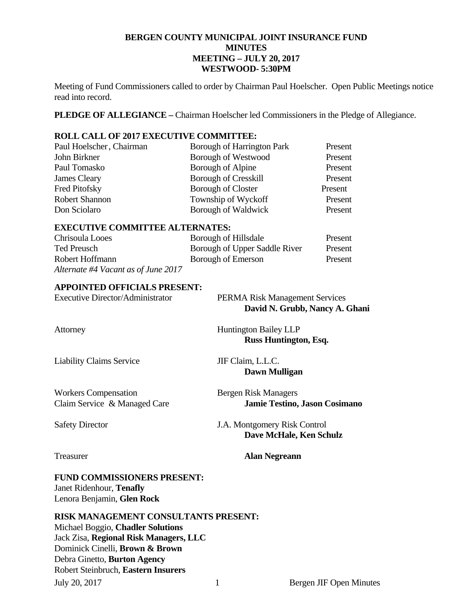## **BERGEN COUNTY MUNICIPAL JOINT INSURANCE FUND MINUTES MEETING – JULY 20, 2017 WESTWOOD- 5:30PM**

Meeting of Fund Commissioners called to order by Chairman Paul Hoelscher. Open Public Meetings notice read into record.

**PLEDGE OF ALLEGIANCE –** Chairman Hoelscher led Commissioners in the Pledge of Allegiance.

## **ROLL CALL OF 2017 EXECUTIVE COMMITTEE:**

| Paul Hoelscher, Chairman | Borough of Harrington Park  | Present |
|--------------------------|-----------------------------|---------|
| John Birkner             | <b>Borough of Westwood</b>  | Present |
| Paul Tomasko             | Borough of Alpine           | Present |
| James Cleary             | <b>Borough of Cresskill</b> | Present |
| Fred Pitofsky            | <b>Borough of Closter</b>   | Present |
| <b>Robert Shannon</b>    | Township of Wyckoff         | Present |
| Don Sciolaro             | Borough of Waldwick         | Present |

#### **EXECUTIVE COMMITTEE ALTERNATES:**

| Chrisoula Looes                     | Borough of Hillsdale          | Present |
|-------------------------------------|-------------------------------|---------|
| Ted Preusch                         | Borough of Upper Saddle River | Present |
| Robert Hoffmann                     | Borough of Emerson            | Present |
| Alternate #4 Vacant as of June 2017 |                               |         |

#### **APPOINTED OFFICIALS PRESENT:**

| <b>Executive Director/Administrator</b>                       | <b>PERMA Risk Management Services</b><br>David N. Grubb, Nancy A. Ghani |
|---------------------------------------------------------------|-------------------------------------------------------------------------|
| Attorney                                                      | <b>Huntington Bailey LLP</b><br>Russ Huntington, Esq.                   |
| <b>Liability Claims Service</b>                               | JIF Claim, L.L.C.<br>Dawn Mulligan                                      |
| <b>Workers Compensation</b><br>Claim Service & Managed Care   | <b>Bergen Risk Managers</b><br><b>Jamie Testino, Jason Cosimano</b>     |
| <b>Safety Director</b>                                        | J.A. Montgomery Risk Control<br>Dave McHale, Ken Schulz                 |
| Treasurer                                                     | <b>Alan Negreann</b>                                                    |
| <b>FUND COMMISSIONERS PRESENT:</b><br>Janet Ridenhour Tenafly |                                                                         |

Janet Ridenhour, **I enally** Lenora Benjamin, **Glen Rock** 

## **RISK MANAGEMENT CONSULTANTS PRESENT:**

July 20, 2017 1 Bergen JIF Open Minutes Michael Boggio, **Chadler Solutions**  Jack Zisa, **Regional Risk Managers, LLC** Dominick Cinelli, **Brown & Brown** Debra Ginetto, **Burton Agency**  Robert Steinbruch, **Eastern Insurers**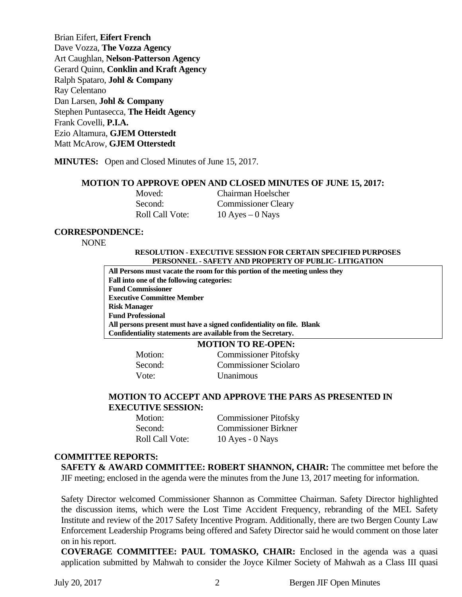Brian Eifert, **Eifert French**  Dave Vozza, **The Vozza Agency**  Art Caughlan, **Nelson-Patterson Agency**  Gerard Quinn, **Conklin and Kraft Agency**  Ralph Spataro, **Johl & Company** Ray Celentano Dan Larsen, **Johl & Company**  Stephen Puntasecca, **The Heidt Agency** Frank Covelli, **P.I.A.**  Ezio Altamura, **GJEM Otterstedt**  Matt McArow, **GJEM Otterstedt** 

**MINUTES:** Open and Closed Minutes of June 15, 2017.

#### **MOTION TO APPROVE OPEN AND CLOSED MINUTES OF JUNE 15, 2017:**

| Moved:                 | Chairman Hoelscher         |
|------------------------|----------------------------|
| Second:                | <b>Commissioner Cleary</b> |
| <b>Roll Call Vote:</b> | 10 Ayes $-0$ Nays          |

#### **CORRESPONDENCE:**

NONE

#### **RESOLUTION - EXECUTIVE SESSION FOR CERTAIN SPECIFIED PURPOSES PERSONNEL - SAFETY AND PROPERTY OF PUBLIC- LITIGATION**

**All Persons must vacate the room for this portion of the meeting unless they Fall into one of the following categories: Fund Commissioner Executive Committee Member Risk Manager Fund Professional All persons present must have a signed confidentiality on file. Blank Confidentiality statements are available from the Secretary.** 

#### **MOTION TO RE-OPEN:**

 Motion: Commissioner Pitofsky Second: Commissioner Sciolaro Vote: Unanimous

#### **MOTION TO ACCEPT AND APPROVE THE PARS AS PRESENTED IN EXECUTIVE SESSION:**

 Motion: Commissioner Pitofsky Second: Commissioner Birkner Roll Call Vote: 10 Ayes - 0 Nays

#### **COMMITTEE REPORTS:**

**SAFETY & AWARD COMMITTEE: ROBERT SHANNON, CHAIR:** The committee met before the JIF meeting; enclosed in the agenda were the minutes from the June 13, 2017 meeting for information.

Safety Director welcomed Commissioner Shannon as Committee Chairman. Safety Director highlighted the discussion items, which were the Lost Time Accident Frequency, rebranding of the MEL Safety Institute and review of the 2017 Safety Incentive Program. Additionally, there are two Bergen County Law Enforcement Leadership Programs being offered and Safety Director said he would comment on those later on in his report.

**COVERAGE COMMITTEE: PAUL TOMASKO, CHAIR:** Enclosed in the agenda was a quasi application submitted by Mahwah to consider the Joyce Kilmer Society of Mahwah as a Class III quasi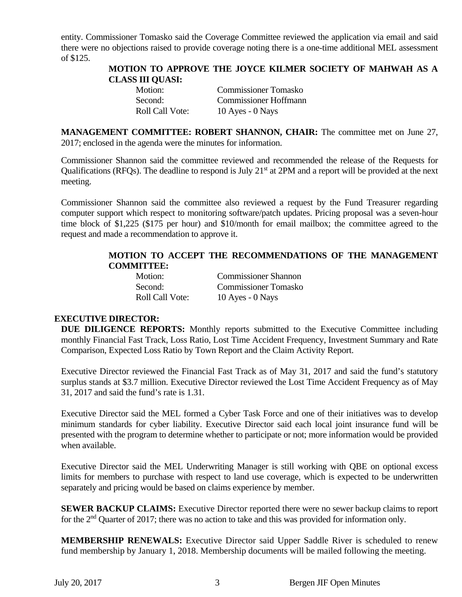entity. Commissioner Tomasko said the Coverage Committee reviewed the application via email and said there were no objections raised to provide coverage noting there is a one-time additional MEL assessment of \$125.

## **MOTION TO APPROVE THE JOYCE KILMER SOCIETY OF MAHWAH AS A CLASS III QUASI:**

| Motion:                | <b>Commissioner Tomasko</b>  |
|------------------------|------------------------------|
| Second:                | <b>Commissioner Hoffmann</b> |
| <b>Roll Call Vote:</b> | $10$ Ayes - $0$ Nays         |

**MANAGEMENT COMMITTEE: ROBERT SHANNON, CHAIR:** The committee met on June 27, 2017; enclosed in the agenda were the minutes for information.

Commissioner Shannon said the committee reviewed and recommended the release of the Requests for Qualifications (RFQs). The deadline to respond is July 21<sup>st</sup> at 2PM and a report will be provided at the next meeting.

Commissioner Shannon said the committee also reviewed a request by the Fund Treasurer regarding computer support which respect to monitoring software/patch updates. Pricing proposal was a seven-hour time block of \$1,225 (\$175 per hour) and \$10/month for email mailbox; the committee agreed to the request and made a recommendation to approve it.

## **MOTION TO ACCEPT THE RECOMMENDATIONS OF THE MANAGEMENT COMMITTEE:**

 Motion: Commissioner Shannon Second: Commissioner Tomasko Roll Call Vote: 10 Ayes - 0 Nays

## **EXECUTIVE DIRECTOR:**

**DUE DILIGENCE REPORTS:** Monthly reports submitted to the Executive Committee including monthly Financial Fast Track, Loss Ratio, Lost Time Accident Frequency, Investment Summary and Rate Comparison, Expected Loss Ratio by Town Report and the Claim Activity Report.

Executive Director reviewed the Financial Fast Track as of May 31, 2017 and said the fund's statutory surplus stands at \$3.7 million. Executive Director reviewed the Lost Time Accident Frequency as of May 31, 2017 and said the fund's rate is 1.31.

Executive Director said the MEL formed a Cyber Task Force and one of their initiatives was to develop minimum standards for cyber liability. Executive Director said each local joint insurance fund will be presented with the program to determine whether to participate or not; more information would be provided when available.

Executive Director said the MEL Underwriting Manager is still working with QBE on optional excess limits for members to purchase with respect to land use coverage, which is expected to be underwritten separately and pricing would be based on claims experience by member.

**SEWER BACKUP CLAIMS:** Executive Director reported there were no sewer backup claims to report for the 2<sup>nd</sup> Quarter of 2017; there was no action to take and this was provided for information only.

**MEMBERSHIP RENEWALS:** Executive Director said Upper Saddle River is scheduled to renew fund membership by January 1, 2018. Membership documents will be mailed following the meeting.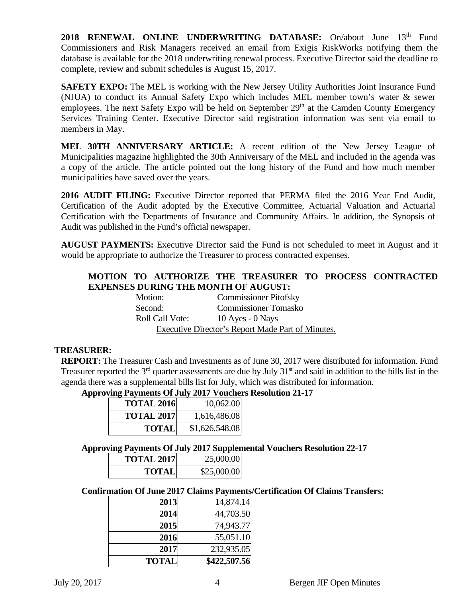2018 RENEWAL ONLINE UNDERWRITING DATABASE: On/about June 13<sup>th</sup> Fund Commissioners and Risk Managers received an email from Exigis RiskWorks notifying them the database is available for the 2018 underwriting renewal process. Executive Director said the deadline to complete, review and submit schedules is August 15, 2017.

**SAFETY EXPO:** The MEL is working with the New Jersey Utility Authorities Joint Insurance Fund (NJUA) to conduct its Annual Safety Expo which includes MEL member town's water & sewer employees. The next Safety Expo will be held on September 29<sup>th</sup> at the Camden County Emergency Services Training Center. Executive Director said registration information was sent via email to members in May.

**MEL 30TH ANNIVERSARY ARTICLE:** A recent edition of the New Jersey League of Municipalities magazine highlighted the 30th Anniversary of the MEL and included in the agenda was a copy of the article. The article pointed out the long history of the Fund and how much member municipalities have saved over the years.

**2016 AUDIT FILING:** Executive Director reported that PERMA filed the 2016 Year End Audit, Certification of the Audit adopted by the Executive Committee, Actuarial Valuation and Actuarial Certification with the Departments of Insurance and Community Affairs. In addition, the Synopsis of Audit was published in the Fund's official newspaper.

**AUGUST PAYMENTS:** Executive Director said the Fund is not scheduled to meet in August and it would be appropriate to authorize the Treasurer to process contracted expenses.

## **MOTION TO AUTHORIZE THE TREASURER TO PROCESS CONTRACTED EXPENSES DURING THE MONTH OF AUGUST:**

| Motion:                | <b>Commissioner Pitofsky</b>                      |
|------------------------|---------------------------------------------------|
| Second:                | <b>Commissioner Tomasko</b>                       |
| <b>Roll Call Vote:</b> | $10$ Ayes - $0$ Nays                              |
|                        | Executive Director's Report Made Part of Minutes. |

## **TREASURER:**

**REPORT:** The Treasurer Cash and Investments as of June 30, 2017 were distributed for information. Fund Treasurer reported the  $3<sup>rd</sup>$  quarter assessments are due by July  $31<sup>st</sup>$  and said in addition to the bills list in the agenda there was a supplemental bills list for July, which was distributed for information.

## **Approving Payments Of July 2017 Vouchers Resolution 21-17**

| <b>TOTAL 2016</b> | 10,062.00      |
|-------------------|----------------|
| <b>TOTAL 2017</b> | 1,616,486.08   |
| TOTALI            | \$1,626,548.08 |

## **Approving Payments Of July 2017 Supplemental Vouchers Resolution 22-17**

| <b>TOTAL 2017</b> | 25,000.00   |
|-------------------|-------------|
| TOTALI            | \$25,000.00 |

## **Confirmation Of June 2017 Claims Payments/Certification Of Claims Transfers:**

| 2013         | 14,874.14    |
|--------------|--------------|
| 2014         | 44,703.50    |
| 2015         | 74,943.77    |
| 2016         | 55,051.10    |
| 2017         | 232,935.05   |
| <b>TOTAL</b> | \$422,507.56 |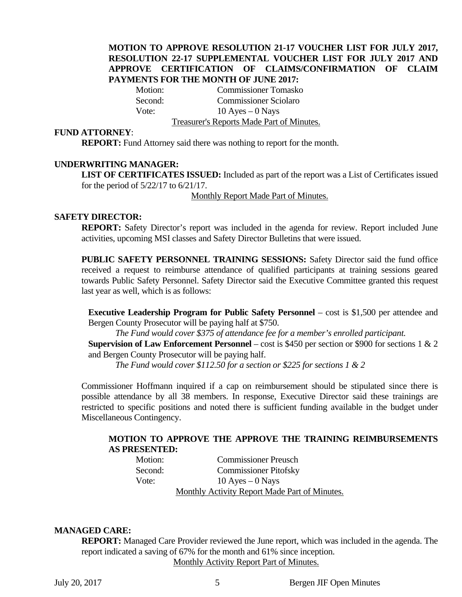## **MOTION TO APPROVE RESOLUTION 21-17 VOUCHER LIST FOR JULY 2017, RESOLUTION 22-17 SUPPLEMENTAL VOUCHER LIST FOR JULY 2017 AND APPROVE CERTIFICATION OF CLAIMS/CONFIRMATION OF CLAIM PAYMENTS FOR THE MONTH OF JUNE 2017:**

Motion: Commissioner Tomasko Second: Commissioner Sciolaro Vote:  $10 \text{ Ayes} - 0 \text{ Nays}$ Treasurer's Reports Made Part of Minutes.

#### **FUND ATTORNEY**:

**REPORT:** Fund Attorney said there was nothing to report for the month.

#### **UNDERWRITING MANAGER:**

**LIST OF CERTIFICATES ISSUED:** Included as part of the report was a List of Certificates issued for the period of 5/22/17 to 6/21/17.

Monthly Report Made Part of Minutes.

#### **SAFETY DIRECTOR:**

**REPORT:** Safety Director's report was included in the agenda for review. Report included June activities, upcoming MSI classes and Safety Director Bulletins that were issued.

**PUBLIC SAFETY PERSONNEL TRAINING SESSIONS:** Safety Director said the fund office received a request to reimburse attendance of qualified participants at training sessions geared towards Public Safety Personnel. Safety Director said the Executive Committee granted this request last year as well, which is as follows:

**Executive Leadership Program for Public Safety Personnel** – cost is \$1,500 per attendee and Bergen County Prosecutor will be paying half at \$750.

*The Fund would cover \$375 of attendance fee for a member's enrolled participant.* 

**Supervision of Law Enforcement Personnel** – cost is \$450 per section or \$900 for sections 1 & 2 and Bergen County Prosecutor will be paying half.

*The Fund would cover \$112.50 for a section or \$225 for sections 1 & 2* 

Commissioner Hoffmann inquired if a cap on reimbursement should be stipulated since there is possible attendance by all 38 members. In response, Executive Director said these trainings are restricted to specific positions and noted there is sufficient funding available in the budget under Miscellaneous Contingency.

#### **MOTION TO APPROVE THE APPROVE THE TRAINING REIMBURSEMENTS AS PRESENTED:**

Motion: Commissioner Preusch Second: Commissioner Pitofsky Vote:  $10 \text{ Ayes} - 0 \text{ Nays}$ Monthly Activity Report Made Part of Minutes.

## **MANAGED CARE:**

**REPORT:** Managed Care Provider reviewed the June report, which was included in the agenda. The report indicated a saving of 67% for the month and 61% since inception.

Monthly Activity Report Part of Minutes.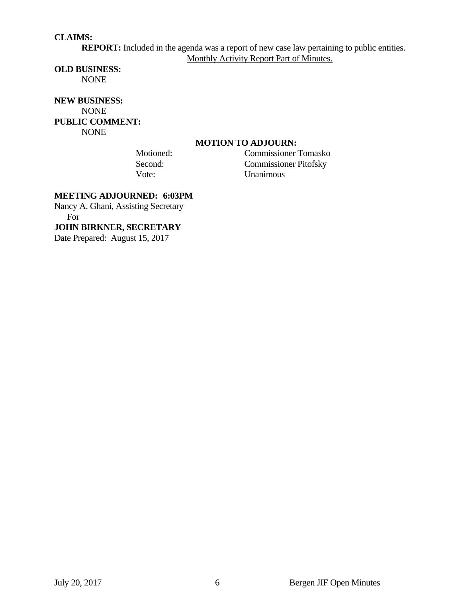## **CLAIMS:**

**REPORT:** Included in the agenda was a report of new case law pertaining to public entities. Monthly Activity Report Part of Minutes.

#### **OLD BUSINESS:**

NONE

## **NEW BUSINESS:**  NONE **PUBLIC COMMENT:**  NONE

## **MOTION TO ADJOURN:**

 Motioned: Commissioner Tomasko Second: Commissioner Pitofsky Vote: Unanimous

## **MEETING ADJOURNED: 6:03PM**

Nancy A. Ghani, Assisting Secretary For

#### **JOHN BIRKNER, SECRETARY**

Date Prepared: August 15, 2017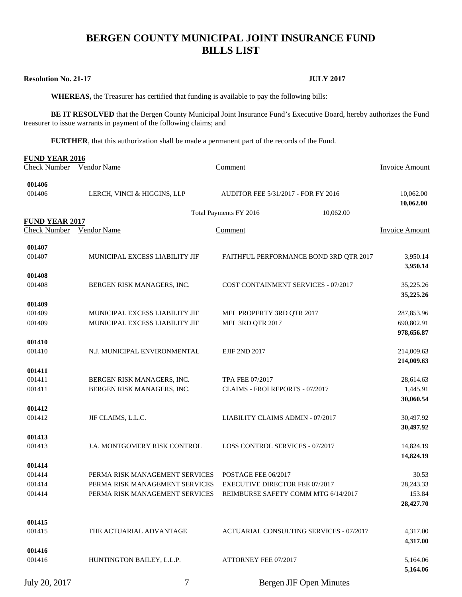# **BERGEN COUNTY MUNICIPAL JOINT INSURANCE FUND BILLS LIST**

#### **Resolution No. 21-17 JULY 2017**

 **WHEREAS,** the Treasurer has certified that funding is available to pay the following bills:

BE IT RESOLVED that the Bergen County Municipal Joint Insurance Fund's Executive Board, hereby authorizes the Fund treasurer to issue warrants in payment of the following claims; and

**FURTHER**, that this authorization shall be made a permanent part of the records of the Fund.

| <b>FUND YEAR 2016</b> |                                |                                                                    |                          |
|-----------------------|--------------------------------|--------------------------------------------------------------------|--------------------------|
| <b>Check Number</b>   | <b>Vendor Name</b>             | Comment                                                            | <b>Invoice Amount</b>    |
| 001406                |                                |                                                                    |                          |
| 001406                | LERCH, VINCI & HIGGINS, LLP    | AUDITOR FEE 5/31/2017 - FOR FY 2016                                | 10,062.00                |
|                       |                                |                                                                    | 10,062.00                |
|                       |                                | 10,062.00<br>Total Payments FY 2016                                |                          |
| <b>FUND YEAR 2017</b> |                                |                                                                    |                          |
| Check Number          | Vendor Name                    | Comment                                                            | <b>Invoice Amount</b>    |
| 001407                |                                |                                                                    |                          |
| 001407                | MUNICIPAL EXCESS LIABILITY JIF | FAITHFUL PERFORMANCE BOND 3RD QTR 2017                             | 3,950.14                 |
|                       |                                |                                                                    | 3,950.14                 |
| 001408                |                                |                                                                    |                          |
| 001408                | BERGEN RISK MANAGERS, INC.     | COST CONTAINMENT SERVICES - 07/2017                                | 35,225.26                |
|                       |                                |                                                                    | 35,225.26                |
| 001409                |                                |                                                                    |                          |
| 001409                | MUNICIPAL EXCESS LIABILITY JIF | MEL PROPERTY 3RD QTR 2017                                          | 287,853.96               |
| 001409                | MUNICIPAL EXCESS LIABILITY JIF | MEL 3RD QTR 2017                                                   | 690,802.91<br>978,656.87 |
| 001410                |                                |                                                                    |                          |
| 001410                | N.J. MUNICIPAL ENVIRONMENTAL   | <b>EJIF 2ND 2017</b>                                               | 214,009.63               |
|                       |                                |                                                                    | 214,009.63               |
| 001411                |                                |                                                                    |                          |
| 001411                | BERGEN RISK MANAGERS, INC.     | TPA FEE 07/2017                                                    | 28,614.63                |
| 001411                | BERGEN RISK MANAGERS, INC.     | CLAIMS - FROI REPORTS - 07/2017                                    | 1,445.91                 |
|                       |                                |                                                                    | 30,060.54                |
| 001412                |                                |                                                                    |                          |
| 001412                | JIF CLAIMS, L.L.C.             | LIABILITY CLAIMS ADMIN - 07/2017                                   | 30,497.92                |
|                       |                                |                                                                    | 30,497.92                |
| 001413<br>001413      | J.A. MONTGOMERY RISK CONTROL   | <b>LOSS CONTROL SERVICES - 07/2017</b>                             | 14,824.19                |
|                       |                                |                                                                    | 14,824.19                |
| 001414                |                                |                                                                    |                          |
| 001414                | PERMA RISK MANAGEMENT SERVICES | POSTAGE FEE 06/2017                                                | 30.53                    |
| 001414                | PERMA RISK MANAGEMENT SERVICES | <b>EXECUTIVE DIRECTOR FEE 07/2017</b>                              | 28,243.33                |
| 001414                |                                | PERMA RISK MANAGEMENT SERVICES REIMBURSE SAFETY COMM MTG 6/14/2017 | 153.84                   |
|                       |                                |                                                                    | 28,427.70                |
|                       |                                |                                                                    |                          |
| 001415                |                                |                                                                    |                          |
| 001415                | THE ACTUARIAL ADVANTAGE        | ACTUARIAL CONSULTING SERVICES - 07/2017                            | 4,317.00                 |
|                       |                                |                                                                    | 4,317.00                 |
| 001416<br>001416      | HUNTINGTON BAILEY, L.L.P.      | ATTORNEY FEE 07/2017                                               | 5,164.06                 |
|                       |                                |                                                                    | 5,164.06                 |
|                       |                                |                                                                    |                          |
| July 20, 2017         | 7                              | <b>Bergen JIF Open Minutes</b>                                     |                          |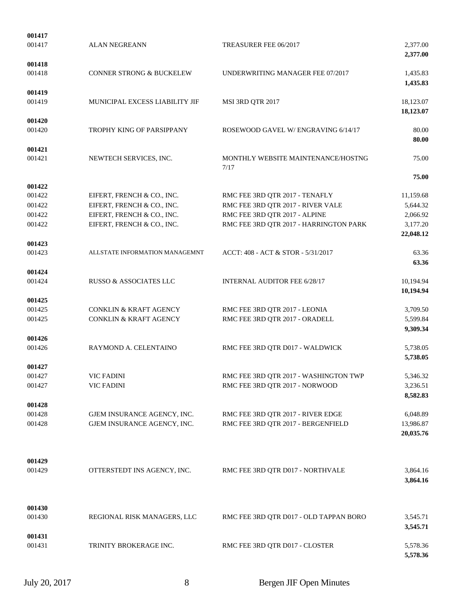| 001417           |                                     |                                        |                      |
|------------------|-------------------------------------|----------------------------------------|----------------------|
| 001417           | <b>ALAN NEGREANN</b>                | TREASURER FEE 06/2017                  | 2,377.00<br>2,377.00 |
| 001418           |                                     |                                        |                      |
| 001418           | <b>CONNER STRONG &amp; BUCKELEW</b> | UNDERWRITING MANAGER FEE 07/2017       | 1,435.83<br>1,435.83 |
| 001419           |                                     |                                        |                      |
| 001419           | MUNICIPAL EXCESS LIABILITY JIF      | MSI 3RD QTR 2017                       | 18,123.07            |
|                  |                                     |                                        | 18,123.07            |
| 001420<br>001420 | TROPHY KING OF PARSIPPANY           | ROSEWOOD GAVEL W/ENGRAVING 6/14/17     | 80.00                |
|                  |                                     |                                        | 80.00                |
| 001421           |                                     |                                        |                      |
| 001421           | NEWTECH SERVICES, INC.              | MONTHLY WEBSITE MAINTENANCE/HOSTNG     | 75.00                |
|                  |                                     | 7/17                                   |                      |
|                  |                                     |                                        | 75.00                |
| 001422           |                                     |                                        |                      |
| 001422           | EIFERT, FRENCH & CO., INC.          | RMC FEE 3RD QTR 2017 - TENAFLY         | 11,159.68            |
| 001422           | EIFERT, FRENCH & CO., INC.          | RMC FEE 3RD QTR 2017 - RIVER VALE      | 5,644.32             |
| 001422           | EIFERT, FRENCH & CO., INC.          | RMC FEE 3RD QTR 2017 - ALPINE          | 2,066.92             |
| 001422           | EIFERT, FRENCH & CO., INC.          | RMC FEE 3RD QTR 2017 - HARRINGTON PARK | 3,177.20             |
|                  |                                     |                                        | 22,048.12            |
| 001423           |                                     |                                        |                      |
| 001423           | ALLSTATE INFORMATION MANAGEMNT      | ACCT: 408 - ACT & STOR - 5/31/2017     | 63.36<br>63.36       |
| 001424           |                                     |                                        |                      |
| 001424           | RUSSO & ASSOCIATES LLC              | <b>INTERNAL AUDITOR FEE 6/28/17</b>    | 10,194.94            |
|                  |                                     |                                        | 10,194.94            |
| 001425           |                                     |                                        |                      |
| 001425           | <b>CONKLIN &amp; KRAFT AGENCY</b>   | RMC FEE 3RD QTR 2017 - LEONIA          | 3,709.50             |
| 001425           | <b>CONKLIN &amp; KRAFT AGENCY</b>   | RMC FEE 3RD QTR 2017 - ORADELL         | 5,599.84             |
|                  |                                     |                                        | 9,309.34             |
| 001426           |                                     |                                        |                      |
| 001426           | RAYMOND A. CELENTAINO               | RMC FEE 3RD QTR D017 - WALDWICK        | 5,738.05<br>5,738.05 |
| 001427           |                                     |                                        |                      |
| 001427           | <b>VIC FADINI</b>                   | RMC FEE 3RD QTR 2017 - WASHINGTON TWP  | 5,346.32             |
| 001427           | <b>VIC FADINI</b>                   | RMC FEE 3RD QTR 2017 - NORWOOD         | 3,236.51             |
|                  |                                     |                                        | 8,582.83             |
| 001428           |                                     |                                        |                      |
| 001428           | GJEM INSURANCE AGENCY, INC.         | RMC FEE 3RD QTR 2017 - RIVER EDGE      | 6,048.89             |
| 001428           | GJEM INSURANCE AGENCY, INC.         | RMC FEE 3RD QTR 2017 - BERGENFIELD     | 13,986.87            |
|                  |                                     |                                        | 20,035.76            |
| 001429           |                                     |                                        |                      |
| 001429           | OTTERSTEDT INS AGENCY, INC.         | RMC FEE 3RD QTR D017 - NORTHVALE       | 3,864.16             |
|                  |                                     |                                        | 3,864.16             |
| 001430           |                                     |                                        |                      |
| 001430           | REGIONAL RISK MANAGERS, LLC         | RMC FEE 3RD QTR D017 - OLD TAPPAN BORO | 3,545.71             |
|                  |                                     |                                        | 3,545.71             |
| 001431           |                                     |                                        |                      |
| 001431           | TRINITY BROKERAGE INC.              | RMC FEE 3RD QTR D017 - CLOSTER         | 5,578.36<br>5,578.36 |
|                  |                                     |                                        |                      |